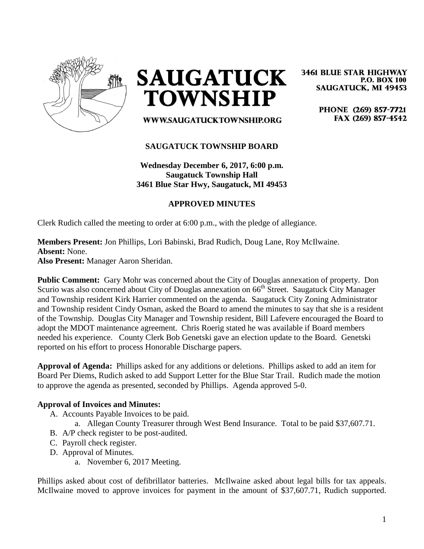

**SAUGATUCK TOWNSHIP** 

WWW.SAUGATUCKTOWNSHIP.ORG

#### **3461 BLUE STAR HIGHWAY P.O. BOX 100 SAUGATUCK, MI 49453**

PHONE (269) 857-7721 FAX (269) 857-4542

# **SAUGATUCK TOWNSHIP BOARD**

**Wednesday December 6, 2017, 6:00 p.m. Saugatuck Township Hall 3461 Blue Star Hwy, Saugatuck, MI 49453**

## **APPROVED MINUTES**

Clerk Rudich called the meeting to order at 6:00 p.m., with the pledge of allegiance.

# **Members Present:** Jon Phillips, Lori Babinski, Brad Rudich, Doug Lane, Roy McIlwaine. **Absent:** None.

**Also Present:** Manager Aaron Sheridan.

**Public Comment:** Gary Mohr was concerned about the City of Douglas annexation of property. Don Scurio was also concerned about City of Douglas annexation on 66<sup>th</sup> Street. Saugatuck City Manager and Township resident Kirk Harrier commented on the agenda. Saugatuck City Zoning Administrator and Township resident Cindy Osman, asked the Board to amend the minutes to say that she is a resident of the Township. Douglas City Manager and Township resident, Bill Lafevere encouraged the Board to adopt the MDOT maintenance agreement. Chris Roerig stated he was available if Board members needed his experience. County Clerk Bob Genetski gave an election update to the Board. Genetski reported on his effort to process Honorable Discharge papers.

**Approval of Agenda:** Phillips asked for any additions or deletions. Phillips asked to add an item for Board Per Diems, Rudich asked to add Support Letter for the Blue Star Trail. Rudich made the motion to approve the agenda as presented, seconded by Phillips. Agenda approved 5-0.

#### **Approval of Invoices and Minutes:**

- A. Accounts Payable Invoices to be paid.
	- a. Allegan County Treasurer through West Bend Insurance. Total to be paid \$37,607.71.
- B. A/P check register to be post-audited.
- C. Payroll check register.
- D. Approval of Minutes.
	- a. November 6, 2017 Meeting.

Phillips asked about cost of defibrillator batteries. McIlwaine asked about legal bills for tax appeals. McIlwaine moved to approve invoices for payment in the amount of \$37,607.71, Rudich supported.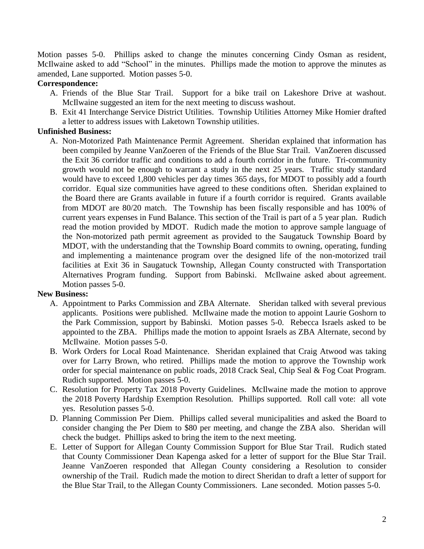Motion passes 5-0. Phillips asked to change the minutes concerning Cindy Osman as resident, McIlwaine asked to add "School" in the minutes. Phillips made the motion to approve the minutes as amended, Lane supported. Motion passes 5-0.

## **Correspondence:**

- A. Friends of the Blue Star Trail. Support for a bike trail on Lakeshore Drive at washout. McIlwaine suggested an item for the next meeting to discuss washout.
- B. Exit 41 Interchange Service District Utilities. Township Utilities Attorney Mike Homier drafted a letter to address issues with Laketown Township utilities.

## **Unfinished Business:**

A. Non-Motorized Path Maintenance Permit Agreement. Sheridan explained that information has been compiled by Jeanne VanZoeren of the Friends of the Blue Star Trail. VanZoeren discussed the Exit 36 corridor traffic and conditions to add a fourth corridor in the future. Tri-community growth would not be enough to warrant a study in the next 25 years. Traffic study standard would have to exceed 1,800 vehicles per day times 365 days, for MDOT to possibly add a fourth corridor. Equal size communities have agreed to these conditions often. Sheridan explained to the Board there are Grants available in future if a fourth corridor is required. Grants available from MDOT are 80/20 match. The Township has been fiscally responsible and has 100% of current years expenses in Fund Balance. This section of the Trail is part of a 5 year plan. Rudich read the motion provided by MDOT. Rudich made the motion to approve sample language of the Non-motorized path permit agreement as provided to the Saugatuck Township Board by MDOT, with the understanding that the Township Board commits to owning, operating, funding and implementing a maintenance program over the designed life of the non-motorized trail facilities at Exit 36 in Saugatuck Township, Allegan County constructed with Transportation Alternatives Program funding. Support from Babinski. McIlwaine asked about agreement. Motion passes 5-0.

#### **New Business:**

- A. Appointment to Parks Commission and ZBA Alternate. Sheridan talked with several previous applicants. Positions were published. McIlwaine made the motion to appoint Laurie Goshorn to the Park Commission, support by Babinski. Motion passes 5-0. Rebecca Israels asked to be appointed to the ZBA. Phillips made the motion to appoint Israels as ZBA Alternate, second by McIlwaine. Motion passes 5-0.
- B. Work Orders for Local Road Maintenance. Sheridan explained that Craig Atwood was taking over for Larry Brown, who retired. Phillips made the motion to approve the Township work order for special maintenance on public roads, 2018 Crack Seal, Chip Seal & Fog Coat Program. Rudich supported. Motion passes 5-0.
- C. Resolution for Property Tax 2018 Poverty Guidelines. McIlwaine made the motion to approve the 2018 Poverty Hardship Exemption Resolution. Phillips supported. Roll call vote: all vote yes. Resolution passes 5-0.
- D. Planning Commission Per Diem. Phillips called several municipalities and asked the Board to consider changing the Per Diem to \$80 per meeting, and change the ZBA also. Sheridan will check the budget. Phillips asked to bring the item to the next meeting.
- E. Letter of Support for Allegan County Commission Support for Blue Star Trail. Rudich stated that County Commissioner Dean Kapenga asked for a letter of support for the Blue Star Trail. Jeanne VanZoeren responded that Allegan County considering a Resolution to consider ownership of the Trail. Rudich made the motion to direct Sheridan to draft a letter of support for the Blue Star Trail, to the Allegan County Commissioners. Lane seconded. Motion passes 5-0.